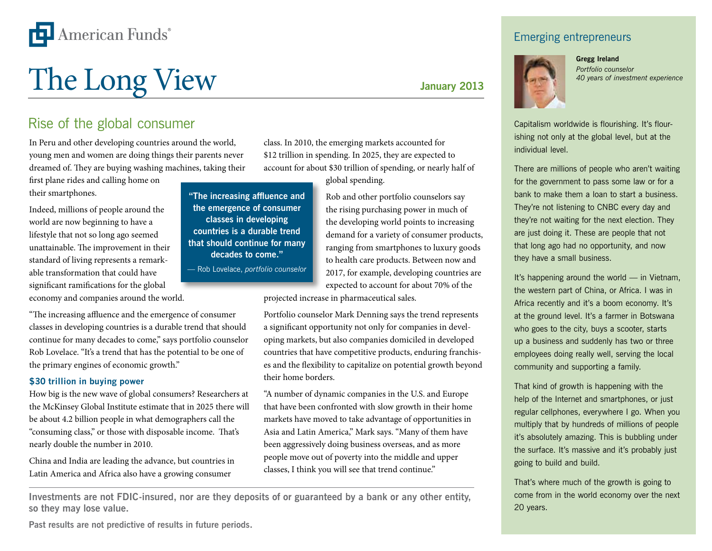

# The Long View Sanuary 2013

# Rise of the global consumer

In Peru and other developing countries around the world, young men and women are doing things their parents never dreamed of. They are buying washing machines, taking their

first plane rides and calling home on their smartphones.

Indeed, millions of people around the world are now beginning to have a lifestyle that not so long ago seemed unattainable. The improvement in their standard of living represents a remarkable transformation that could have significant ramifications for the global economy and companies around the world.

"The increasing affluence and the emergence of consumer classes in developing countries is a durable trend that should continue for many decades to come," says portfolio counselor Rob Lovelace. "It's a trend that has the potential to be one of the primary engines of economic growth."

## **\$30 trillion in buying power**

How big is the new wave of global consumers? Researchers at the McKinsey Global Institute estimate that in 2025 there will be about 4.2 billion people in what demographers call the "consuming class," or those with disposable income. That's nearly double the number in 2010.

China and India are leading the advance, but countries in Latin America and Africa also have a growing consumer

class. In 2010, the emerging markets accounted for \$12 trillion in spending. In 2025, they are expected to account for about \$30 trillion of spending, or nearly half of global spending.

> Rob and other portfolio counselors say the rising purchasing power in much of the developing world points to increasing demand for a variety of consumer products, ranging from smartphones to luxury goods to health care products. Between now and 2017, for example, developing countries are expected to account for about 70% of the

projected increase in pharmaceutical sales.

Portfolio counselor Mark Denning says the trend represents a significant opportunity not only for companies in developing markets, but also companies domiciled in developed countries that have competitive products, enduring franchises and the flexibility to capitalize on potential growth beyond their home borders.

"A number of dynamic companies in the U.S. and Europe that have been confronted with slow growth in their home markets have moved to take advantage of opportunities in Asia and Latin America," Mark says. "Many of them have been aggressively doing business overseas, and as more people move out of poverty into the middle and upper classes, I think you will see that trend continue."

**Investments are not FDIC-insured, nor are they deposits of or guaranteed by a bank or any other entity, so they may lose value.**

**"The increasing affluence and the emergence of consumer classes in developing countries is a durable trend that should continue for many decades to come."** — Rob Lovelace, *portfolio counselor*

**Past results are not predictive of results in future periods.**

## Emerging entrepreneurs



**Gregg Ireland** *Portfolio counselor 40 years of investment experience*

Capitalism worldwide is flourishing. It's flourishing not only at the global level, but at the individual level.

There are millions of people who aren't waiting for the government to pass some law or for a bank to make them a loan to start a business. They're not listening to CNBC every day and they're not waiting for the next election. They are just doing it. These are people that not that long ago had no opportunity, and now they have a small business.

It's happening around the world — in Vietnam, the western part of China, or Africa. I was in Africa recently and it's a boom economy. It's at the ground level. It's a farmer in Botswana who goes to the city, buys a scooter, starts up a business and suddenly has two or three employees doing really well, serving the local community and supporting a family.

That kind of growth is happening with the help of the Internet and smartphones, or just regular cellphones, everywhere I go. When you multiply that by hundreds of millions of people it's absolutely amazing. This is bubbling under the surface. It's massive and it's probably just going to build and build.

That's where much of the growth is going to come from in the world economy over the next 20 years.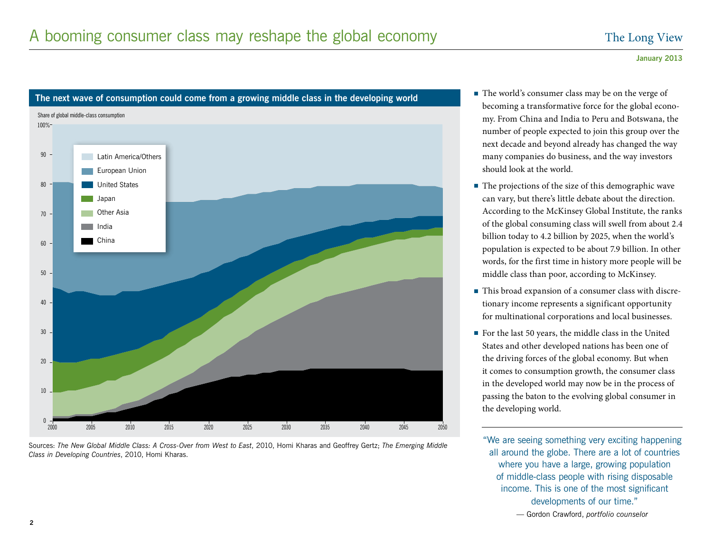

Sources: *The New Global Middle Class: A Cross-Over from West to East*, 2010, Homi Kharas and Geoffrey Gertz; *The Emerging Middle Class in Developing Countries*, 2010, Homi Kharas.

- becoming a transformative force for the global economy. From China and India to Peru and Botswana, the number of people expected to join this group over the next decade and beyond already has changed the way many companies do business, and the way investors should look at the world.
- The projections of the size of this demographic wave can vary, but there's little debate about the direction. According to the McKinsey Global Institute, the ranks of the global consuming class will swell from about 2.4 billion today to 4.2 billion by 2025, when the world's population is expected to be about 7.9 billion. In other words, for the first time in history more people will be middle class than poor, according to McKinsey.
- This broad expansion of a consumer class with discretionary income represents a significant opportunity for multinational corporations and local businesses.
- <sup>n</sup> For the last 50 years, the middle class in the United States and other developed nations has been one of the driving forces of the global economy. But when it comes to consumption growth, the consumer class in the developed world may now be in the process of passing the baton to the evolving global consumer in the developing world.

"We are seeing something very exciting happening all around the globe. There are a lot of countries where you have a large, growing population of middle-class people with rising disposable income. This is one of the most significant developments of our time."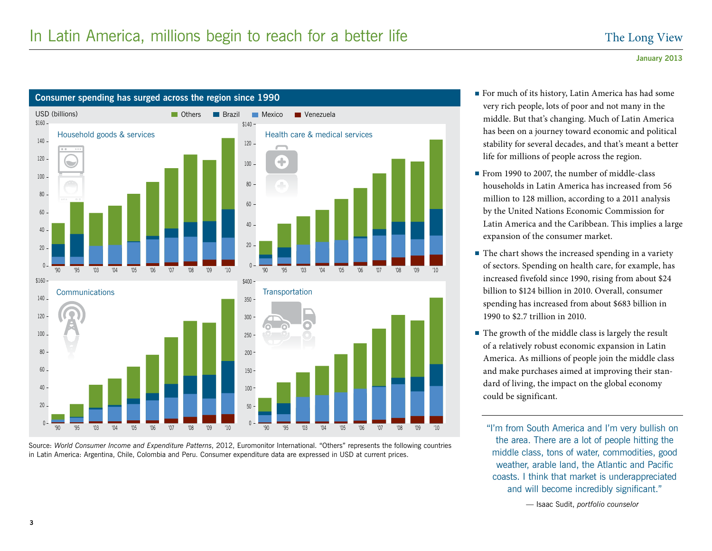

Source: *World Consumer Income and Expenditure Patterns*, 2012, Euromonitor International. "Others" represents the following countries in Latin America: Argentina, Chile, Colombia and Peru. Consumer expenditure data are expressed in USD at current prices.

- very rich people, lots of poor and not many in the middle. But that's changing. Much of Latin America has been on a journey toward economic and political stability for several decades, and that's meant a better life for millions of people across the region.
- From 1990 to 2007, the number of middle-class households in Latin America has increased from 56 million to 128 million, according to a 2011 analysis by the United Nations Economic Commission for Latin America and the Caribbean. This implies a large expansion of the consumer market.
- $\blacksquare$  The chart shows the increased spending in a variety of sectors. Spending on health care, for example, has increased fivefold since 1990, rising from about \$24 billion to \$124 billion in 2010. Overall, consumer spending has increased from about \$683 billion in 1990 to \$2.7 trillion in 2010.
- $\blacksquare$  The growth of the middle class is largely the result of a relatively robust economic expansion in Latin America. As millions of people join the middle class and make purchases aimed at improving their standard of living, the impact on the global economy could be significant.

"I'm from South America and I'm very bullish on the area. There are a lot of people hitting the middle class, tons of water, commodities, good weather, arable land, the Atlantic and Pacific coasts. I think that market is underappreciated and will become incredibly significant."

— Isaac Sudit, *portfolio counselor*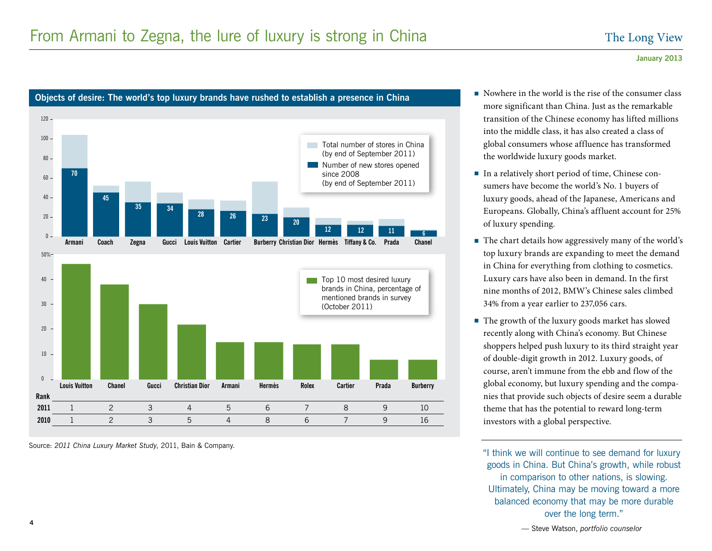

**Objects of desire: The world's top luxury brands have rushed to establish a presence in China Disturband and Nowhere in the world is the rise of the consumer class** 

Source: *2011 China Luxury Market Study*, 2011, Bain & Company.

- more significant than China. Just as the remarkable transition of the Chinese economy has lifted millions into the middle class, it has also created a class of global consumers whose affluence has transformed the worldwide luxury goods market.
- <sup>n</sup> In a relatively short period of time, Chinese consumers have become the world's No. 1 buyers of luxury goods, ahead of the Japanese, Americans and Europeans. Globally, China's affluent account for 25% of luxury spending.
- The chart details how aggressively many of the world's top luxury brands are expanding to meet the demand in China for everything from clothing to cosmetics. Luxury cars have also been in demand. In the first nine months of 2012, BMW's Chinese sales climbed 34% from a year earlier to 237,056 cars.
- The growth of the luxury goods market has slowed recently along with China's economy. But Chinese shoppers helped push luxury to its third straight year of double-digit growth in 2012. Luxury goods, of course, aren't immune from the ebb and flow of the global economy, but luxury spending and the companies that provide such objects of desire seem a durable theme that has the potential to reward long-term investors with a global perspective.

"I think we will continue to see demand for luxury goods in China. But China's growth, while robust in comparison to other nations, is slowing. Ultimately, China may be moving toward a more balanced economy that may be more durable over the long term."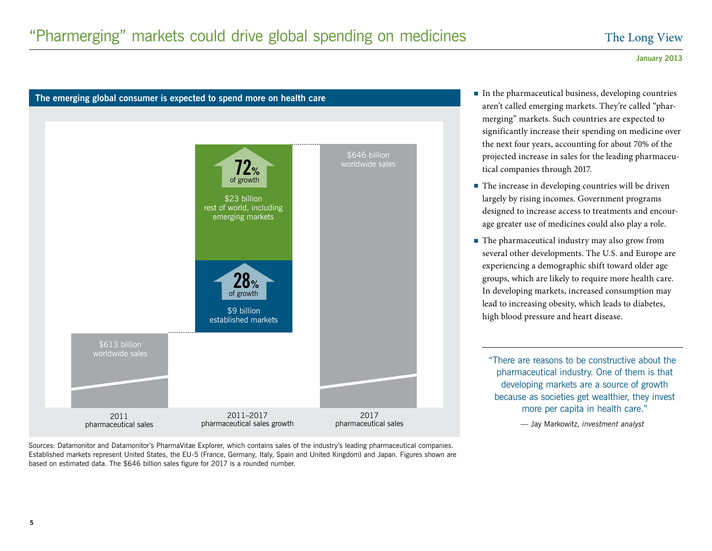

Sources: Datamonitor and Datamonitor's PharmaVitae Explorer, which contains sales of the industry's leading pharmaceutical companies. Established markets represent United States, the EU-5 (France, Germany, Italy, Spain and United Kingdom) and Japan. Figures shown are based on estimated data. The \$646 billion sales figure for 2017 is a rounded number.

- aren't called emerging markets. They're called "pharmerging" markets. Such countries are expected to significantly increase their spending on medicine over the next four years, accounting for about 70% of the projected increase in sales for the leading pharmaceutical companies through 2017.
- $\blacksquare$  The increase in developing countries will be driven largely by rising incomes. Government programs designed to increase access to treatments and encourage greater use of medicines could also play a role.
- The pharmaceutical industry may also grow from several other developments. The U.S. and Europe are experiencing a demographic shift toward older age groups, which are likely to require more health care. In developing markets, increased consumption may lead to increasing obesity, which leads to diabetes, high blood pressure and heart disease.

"There are reasons to be constructive about the pharmaceutical industry. One of them is that developing markets are a source of growth because as societies get wealthier, they invest more per capita in health care."

— Jay Markowitz, *investment analyst*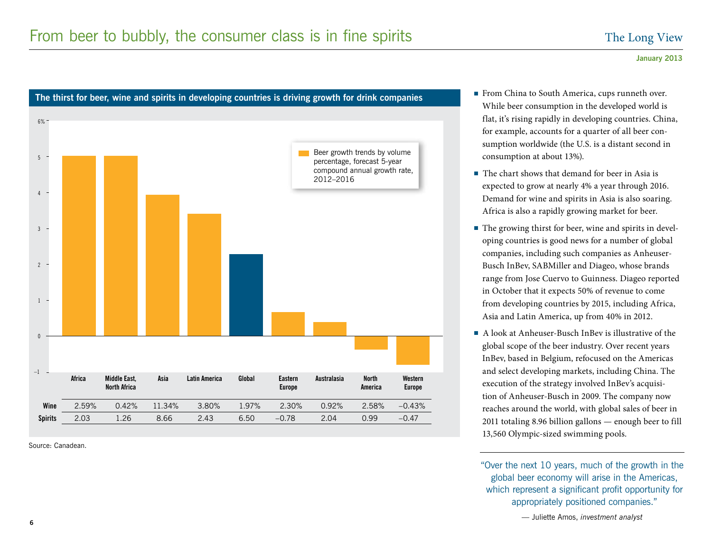

# The thirst for beer, wine and spirits in developing countries is driving growth for drink companies **The thina to South America, cups runneth over.**

Source: Canadean.

- While beer consumption in the developed world is flat, it's rising rapidly in developing countries. China, for example, accounts for a quarter of all beer consumption worldwide (the U.S. is a distant second in consumption at about 13%).
- $\blacksquare$  The chart shows that demand for beer in Asia is expected to grow at nearly 4% a year through 2016. Demand for wine and spirits in Asia is also soaring. Africa is also a rapidly growing market for beer.
- $\blacksquare$  The growing thirst for beer, wine and spirits in developing countries is good news for a number of global companies, including such companies as Anheuser-Busch InBev, SABMiller and Diageo, whose brands range from Jose Cuervo to Guinness. Diageo reported in October that it expects 50% of revenue to come from developing countries by 2015, including Africa, Asia and Latin America, up from 40% in 2012.
- $\blacksquare$  A look at Anheuser-Busch InBev is illustrative of the global scope of the beer industry. Over recent years InBev, based in Belgium, refocused on the Americas and select developing markets, including China. The execution of the strategy involved InBev's acquisition of Anheuser-Busch in 2009. The company now reaches around the world, with global sales of beer in 2011 totaling 8.96 billion gallons — enough beer to fill 13,560 Olympic-sized swimming pools.

"Over the next 10 years, much of the growth in the global beer economy will arise in the Americas, which represent a significant profit opportunity for appropriately positioned companies."

— Juliette Amos, *investment analyst*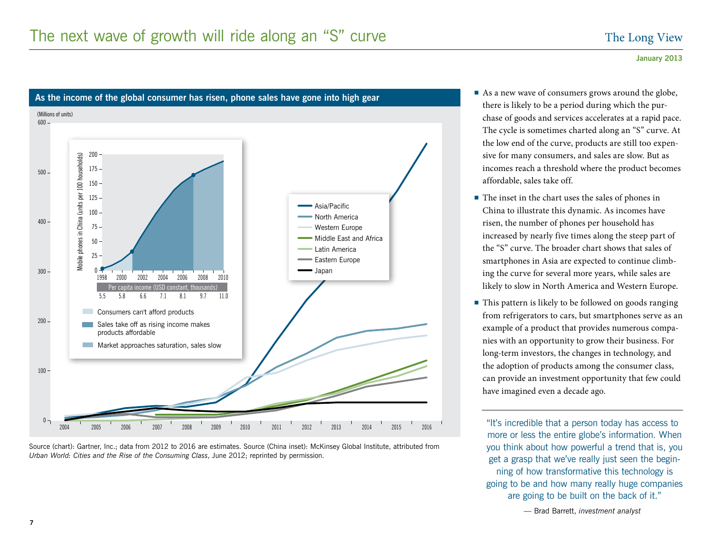(Millions of units) 600 200 Mobile phones in China (units per 100 households) Mobile phones in China (units per 100 households)  $175 -$ 500  $150 125 -$ Asia/Pacific  $100 -$ North America 400  $75 -$ Western Europe Middle East and Africa  $50 -$ Latin America  $25 -$ Eastern Europe Japan  $300 \mathbf{0}$  1998 2000 2002 2004 2006 2008 2010 Per capita income (USD constant, th 5.5 5.8 6.6 7.1 8.1 9.7 11.0 Consumers can't afford products  $200 -$ Sales take off as rising income makes products affordable **Market approaches saturation, sales slow**  $100 0 -$ 2004 2005 2006 2007 2008 2009 2010 2011 2012 2013 2014 2015 2016

Source (chart): Gartner, Inc.; data from 2012 to 2016 are estimates. Source (China inset): McKinsey Global Institute, attributed from *Urban World: Cities and the Rise of the Consuming Class*, June 2012; reprinted by permission.

As the income of the global consumer has risen, phone sales have gone into high gear<br>As the income of the global consumer has risen, phone sales have gone into high gear there is likely to be a period during which the purchase of goods and services accelerates at a rapid pace. The cycle is sometimes charted along an "S" curve. At the low end of the curve, products are still too expensive for many consumers, and sales are slow. But as incomes reach a threshold where the product becomes affordable, sales take off.

- $\blacksquare$  The inset in the chart uses the sales of phones in China to illustrate this dynamic. As incomes have risen, the number of phones per household has increased by nearly five times along the steep part of the "S" curve. The broader chart shows that sales of smartphones in Asia are expected to continue climbing the curve for several more years, while sales are likely to slow in North America and Western Europe.
- $\blacksquare$  This pattern is likely to be followed on goods ranging from refrigerators to cars, but smartphones serve as an example of a product that provides numerous companies with an opportunity to grow their business. For long-term investors, the changes in technology, and the adoption of products among the consumer class, can provide an investment opportunity that few could have imagined even a decade ago.

"It's incredible that a person today has access to more or less the entire globe's information. When you think about how powerful a trend that is, you get a grasp that we've really just seen the beginning of how transformative this technology is going to be and how many really huge companies are going to be built on the back of it."

**January 2013**